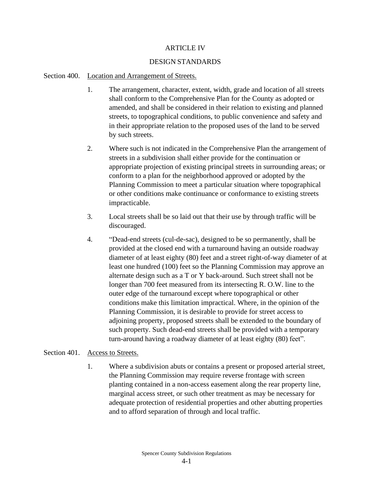#### ARTICLE IV

#### DESIGN STANDARDS

#### Section 400. Location and Arrangement of Streets.

- 1. The arrangement, character, extent, width, grade and location of all streets shall conform to the Comprehensive Plan for the County as adopted or amended, and shall be considered in their relation to existing and planned streets, to topographical conditions, to public convenience and safety and in their appropriate relation to the proposed uses of the land to be served by such streets.
- 2. Where such is not indicated in the Comprehensive Plan the arrangement of streets in a subdivision shall either provide for the continuation or appropriate projection of existing principal streets in surrounding areas; or conform to a plan for the neighborhood approved or adopted by the Planning Commission to meet a particular situation where topographical or other conditions make continuance or conformance to existing streets impracticable.
- 3. Local streets shall be so laid out that their use by through traffic will be discouraged.
- 4. "Dead-end streets (cul-de-sac), designed to be so permanently, shall be provided at the closed end with a turnaround having an outside roadway diameter of at least eighty (80) feet and a street right-of-way diameter of at least one hundred (100) feet so the Planning Commission may approve an alternate design such as a T or Y back-around. Such street shall not be longer than 700 feet measured from its intersecting R. O.W. line to the outer edge of the turnaround except where topographical or other conditions make this limitation impractical. Where, in the opinion of the Planning Commission, it is desirable to provide for street access to adjoining property, proposed streets shall be extended to the boundary of such property. Such dead-end streets shall be provided with a temporary turn-around having a roadway diameter of at least eighty (80) feet".

#### Section 401. Access to Streets.

1. Where a subdivision abuts or contains a present or proposed arterial street, the Planning Commission may require reverse frontage with screen planting contained in a non-access easement along the rear property line, marginal access street, or such other treatment as may be necessary for adequate protection of residential properties and other abutting properties and to afford separation of through and local traffic.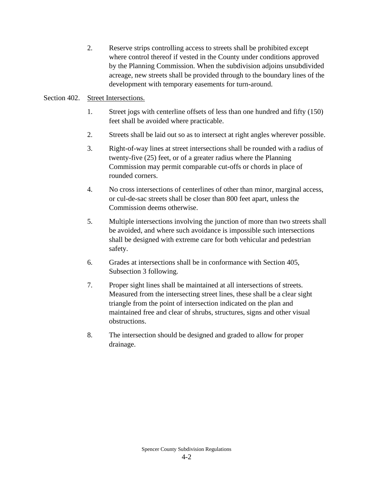2. Reserve strips controlling access to streets shall be prohibited except where control thereof if vested in the County under conditions approved by the Planning Commission. When the subdivision adjoins unsubdivided acreage, new streets shall be provided through to the boundary lines of the development with temporary easements for turn-around.

### Section 402. Street Intersections.

- 1. Street jogs with centerline offsets of less than one hundred and fifty (150) feet shall be avoided where practicable.
- 2. Streets shall be laid out so as to intersect at right angles wherever possible.
- 3. Right-of-way lines at street intersections shall be rounded with a radius of twenty-five (25) feet, or of a greater radius where the Planning Commission may permit comparable cut-offs or chords in place of rounded corners.
- 4. No cross intersections of centerlines of other than minor, marginal access, or cul-de-sac streets shall be closer than 800 feet apart, unless the Commission deems otherwise.
- 5. Multiple intersections involving the junction of more than two streets shall be avoided, and where such avoidance is impossible such intersections shall be designed with extreme care for both vehicular and pedestrian safety.
- 6. Grades at intersections shall be in conformance with Section 405, Subsection 3 following.
- 7. Proper sight lines shall be maintained at all intersections of streets. Measured from the intersecting street lines, these shall be a clear sight triangle from the point of intersection indicated on the plan and maintained free and clear of shrubs, structures, signs and other visual obstructions.
- 8. The intersection should be designed and graded to allow for proper drainage.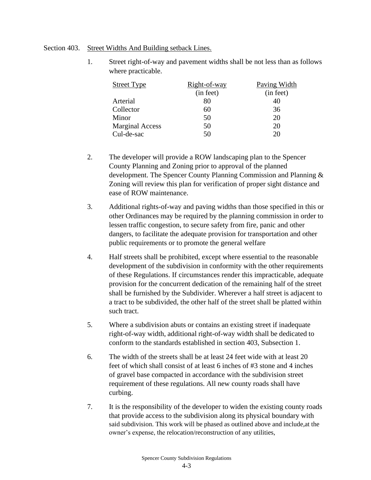#### Section 403. Street Widths And Building setback Lines.

1. Street right-of-way and pavement widths shall be not less than as follows where practicable.

| <b>Street Type</b>     | Right-of-way | Paving Width |
|------------------------|--------------|--------------|
|                        | (in feet)    | (in feet)    |
| Arterial               | 80           | 40           |
| Collector              | 60           | 36           |
| Minor                  | 50           | 20           |
| <b>Marginal Access</b> | 50           | 20           |
| Cul-de-sac             | 50           | 20           |

- 2. The developer will provide a ROW landscaping plan to the Spencer County Planning and Zoning prior to approval of the planned development. The Spencer County Planning Commission and Planning & Zoning will review this plan for verification of proper sight distance and ease of ROW maintenance.
- 3. Additional rights-of-way and paving widths than those specified in this or other Ordinances may be required by the planning commission in order to lessen traffic congestion, to secure safety from fire, panic and other dangers, to facilitate the adequate provision for transportation and other public requirements or to promote the general welfare
- 4. Half streets shall be prohibited, except where essential to the reasonable development of the subdivision in conformity with the other requirements of these Regulations. If circumstances render this impracticable, adequate provision for the concurrent dedication of the remaining half of the street shall be furnished by the Subdivider. Wherever a half street is adjacent to a tract to be subdivided, the other half of the street shall be platted within such tract.
- 5. Where a subdivision abuts or contains an existing street if inadequate right-of-way width, additional right-of-way width shall be dedicated to conform to the standards established in section 403, Subsection 1.
- 6. The width of the streets shall be at least 24 feet wide with at least 20 feet of which shall consist of at least 6 inches of #3 stone and 4 inches of gravel base compacted in accordance with the subdivision street requirement of these regulations. All new county roads shall have curbing.
- 7. It is the responsibility of the developer to widen the existing county roads that provide access to the subdivision along its physical boundary with said subdivision. This work will be phased as outlined above and include,at the owner's expense, the relocation/reconstruction of any utilities,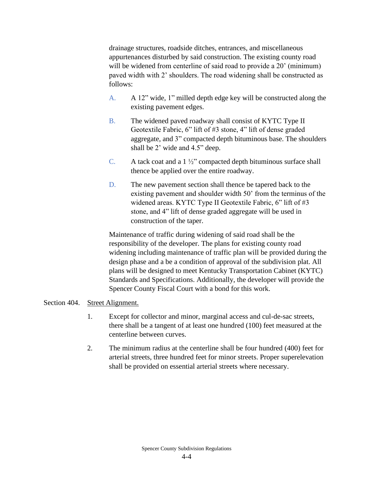drainage structures, roadside ditches, entrances, and miscellaneous appurtenances disturbed by said construction. The existing county road will be widened from centerline of said road to provide a 20' (minimum) paved width with 2' shoulders. The road widening shall be constructed as follows:

- A. A 12" wide, 1" milled depth edge key will be constructed along the existing pavement edges.
- B. The widened paved roadway shall consist of KYTC Type II Geotextile Fabric, 6" lift of #3 stone, 4" lift of dense graded aggregate, and 3" compacted depth bituminous base. The shoulders shall be 2' wide and 4.5" deep.
- C. A tack coat and a  $1\frac{1}{2}$ " compacted depth bituminous surface shall thence be applied over the entire roadway.
- D. The new pavement section shall thence be tapered back to the existing pavement and shoulder width 50' from the terminus of the widened areas. KYTC Type II Geotextile Fabric, 6" lift of #3 stone, and 4" lift of dense graded aggregate will be used in construction of the taper.

Maintenance of traffic during widening of said road shall be the responsibility of the developer. The plans for existing county road widening including maintenance of traffic plan will be provided during the design phase and a be a condition of approval of the subdivision plat. All plans will be designed to meet Kentucky Transportation Cabinet (KYTC) Standards and Specifications. Additionally, the developer will provide the Spencer County Fiscal Court with a bond for this work.

## Section 404. Street Alignment.

- 1. Except for collector and minor, marginal access and cul-de-sac streets, there shall be a tangent of at least one hundred (100) feet measured at the centerline between curves.
- 2. The minimum radius at the centerline shall be four hundred (400) feet for arterial streets, three hundred feet for minor streets. Proper superelevation shall be provided on essential arterial streets where necessary.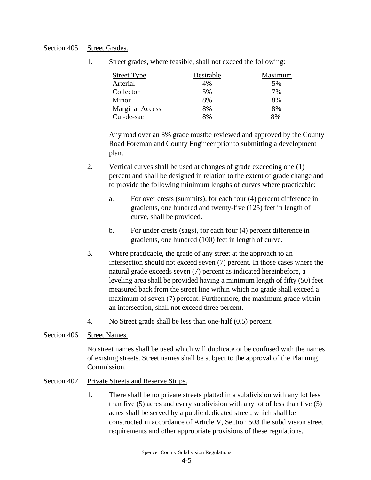#### Section 405. Street Grades.

1. Street grades, where feasible, shall not exceed the following:

| <b>Street Type</b>     | Desirable | Maximum |
|------------------------|-----------|---------|
| Arterial               | 4%        | 5%      |
| Collector              | 5%        | 7%      |
| Minor                  | 8%        | 8%      |
| <b>Marginal Access</b> | 8%        | 8%      |
| Cul-de-sac             | 8%        | 8%      |

Any road over an 8% grade mustbe reviewed and approved by the County Road Foreman and County Engineer prior to submitting a development plan.

- 2. Vertical curves shall be used at changes of grade exceeding one (1) percent and shall be designed in relation to the extent of grade change and to provide the following minimum lengths of curves where practicable:
	- a. For over crests (summits), for each four (4) percent difference in gradients, one hundred and twenty-five (125) feet in length of curve, shall be provided.
	- b. For under crests (sags), for each four (4) percent difference in gradients, one hundred (100) feet in length of curve.
- 3. Where practicable, the grade of any street at the approach to an intersection should not exceed seven (7) percent. In those cases where the natural grade exceeds seven (7) percent as indicated hereinbefore, a leveling area shall be provided having a minimum length of fifty (50) feet measured back from the street line within which no grade shall exceed a maximum of seven (7) percent. Furthermore, the maximum grade within an intersection, shall not exceed three percent.
- 4. No Street grade shall be less than one-half (0.5) percent.
- Section 406. Street Names.

No street names shall be used which will duplicate or be confused with the names of existing streets. Street names shall be subject to the approval of the Planning Commission.

- Section 407. Private Streets and Reserve Strips.
	- 1. There shall be no private streets platted in a subdivision with any lot less than five (5) acres and every subdivision with any lot of less than five (5) acres shall be served by a public dedicated street, which shall be constructed in accordance of Article V, Section 503 the subdivision street requirements and other appropriate provisions of these regulations.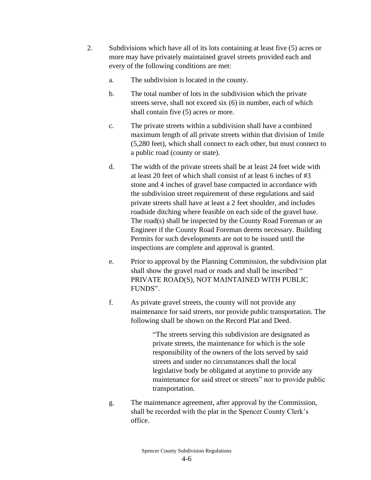- 2. Subdivisions which have all of its lots containing at least five (5) acres or more may have privately maintained gravel streets provided each and every of the following conditions are met:
	- a. The subdivision is located in the county.
	- b. The total number of lots in the subdivision which the private streets serve, shall not exceed six (6) in number, each of which shall contain five (5) acres or more.
	- c. The private streets within a subdivision shall have a combined maximum length of all private streets within that division of 1mile (5,280 feet), which shall connect to each other, but must connect to a public road (county or state).
	- d. The width of the private streets shall be at least 24 feet wide with at least 20 feet of which shall consist of at least 6 inches of #3 stone and 4 inches of gravel base compacted in accordance with the subdivision street requirement of these regulations and said private streets shall have at least a 2 feet shoulder, and includes roadside ditching where feasible on each side of the gravel base. The road(s) shall be inspected by the County Road Foreman or an Engineer if the County Road Foreman deems necessary. Building Permits for such developments are not to be issued until the inspections are complete and approval is granted.
	- e. Prior to approval by the Planning Commission, the subdivision plat shall show the gravel road or roads and shall be inscribed " PRIVATE ROAD(S), NOT MAINTAINED WITH PUBLIC FUNDS".
	- f. As private gravel streets, the county will not provide any maintenance for said streets, nor provide public transportation. The following shall be shown on the Record Plat and Deed.

"The streets serving this subdivision are designated as private streets, the maintenance for which is the sole responsibility of the owners of the lots served by said streets and under no circumstances shall the local legislative body be obligated at anytime to provide any maintenance for said street or streets" nor to provide public transportation.

g. The maintenance agreement, after approval by the Commission, shall be recorded with the plat in the Spencer County Clerk's office.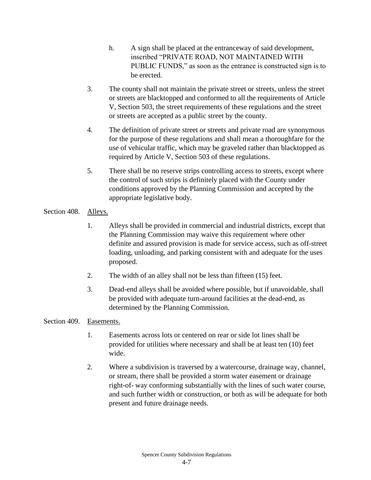- h. A sign shall be placed at the entranceway of said development, inscribed "PRIVATE ROAD, NOT MAINTAINED WITH PUBLIC FUNDS," as soon as the entrance is constructed sign is to be erected.
- 3. The county shall not maintain the private street or streets, unless the street or streets are blacktopped and conformed to all the requirements of Article V, Section 503, the street requirements of these regulations and the street or streets are accepted as a public street by the county.
- 4. The definition of private street or streets and private road are synonymous for the purpose of these regulations and shall mean a thoroughfare for the use of vehicular traffic, which may be graveled rather than blacktopped as required by Article V, Section 503 of these regulations.
- 5. There shall be no reserve strips controlling access to streets, except where the control of such strips is definitely placed with the County under conditions approved by the Planning Commission and accepted by the appropriate legislative body.

# Section 408. Alleys.

- 1. Alleys shall be provided in commercial and industrial districts, except that the Planning Commission may waive this requirement where other definite and assured provision is made for service access, such as off-street loading, unloading, and parking consistent with and adequate for the uses proposed.
- 2. The width of an alley shall not be less than fifteen (15) feet.
- 3. Dead-end alleys shall be avoided where possible, but if unavoidable, shall be provided with adequate turn-around facilities at the dead-end, as determined by the Planning Commission.

## Section 409. Easements.

- 1. Easements across lots or centered on rear or side lot lines shall be provided for utilities where necessary and shall be at least ten (10) feet wide.
- 2. Where a subdivision is traversed by a watercourse, drainage way, channel, or stream, there shall be provided a storm water easement or drainage right-of- way conforming substantially with the lines of such water course, and such further width or construction, or both as will be adequate for both present and future drainage needs.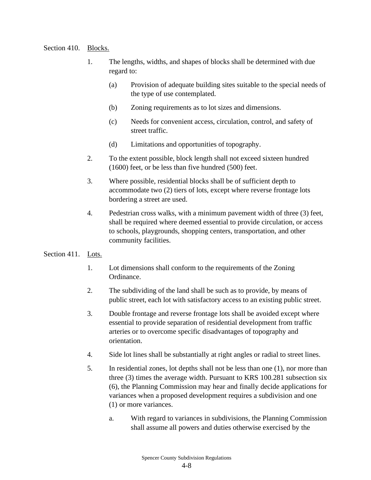### Section 410. Blocks.

- 1. The lengths, widths, and shapes of blocks shall be determined with due regard to:
	- (a) Provision of adequate building sites suitable to the special needs of the type of use contemplated.
	- (b) Zoning requirements as to lot sizes and dimensions.
	- (c) Needs for convenient access, circulation, control, and safety of street traffic.
	- (d) Limitations and opportunities of topography.
- 2. To the extent possible, block length shall not exceed sixteen hundred (1600) feet, or be less than five hundred (500) feet.
- 3. Where possible, residential blocks shall be of sufficient depth to accommodate two (2) tiers of lots, except where reverse frontage lots bordering a street are used.
- 4. Pedestrian cross walks, with a minimum pavement width of three (3) feet, shall be required where deemed essential to provide circulation, or access to schools, playgrounds, shopping centers, transportation, and other community facilities.
- Section 411. Lots.
	- 1. Lot dimensions shall conform to the requirements of the Zoning Ordinance.
	- 2. The subdividing of the land shall be such as to provide, by means of public street, each lot with satisfactory access to an existing public street.
	- 3. Double frontage and reverse frontage lots shall be avoided except where essential to provide separation of residential development from traffic arteries or to overcome specific disadvantages of topography and orientation.
	- 4. Side lot lines shall be substantially at right angles or radial to street lines.
	- 5. In residential zones, lot depths shall not be less than one (1), nor more than three (3) times the average width. Pursuant to KRS 100.281 subsection six (6), the Planning Commission may hear and finally decide applications for variances when a proposed development requires a subdivision and one (1) or more variances.
		- a. With regard to variances in subdivisions, the Planning Commission shall assume all powers and duties otherwise exercised by the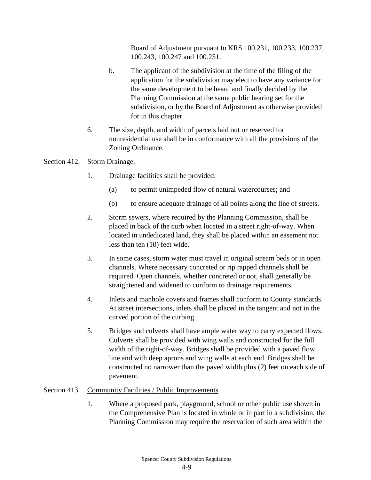Board of Adjustment pursuant to KRS 100.231, 100.233, 100.237, 100.243, 100.247 and 100.251.

- b. The applicant of the subdivision at the time of the filing of the application for the subdivision may elect to have any variance for the same development to be heard and finally decided by the Planning Commission at the same public hearing set for the subdivision, or by the Board of Adjustment as otherwise provided for in this chapter.
- 6. The size, depth, and width of parcels laid out or reserved for nonresidential use shall be in conformance with all the provisions of the Zoning Ordinance.

### Section 412. Storm Drainage.

- 1. Drainage facilities shall be provided:
	- (a) to permit unimpeded flow of natural watercourses; and
	- (b) to ensure adequate drainage of all points along the line of streets.
- 2. Storm sewers, where required by the Planning Commission, shall be placed in back of the curb when located in a street right-of-way. When located in undedicated land, they shall be placed within an easement not less than ten (10) feet wide.
- 3. In some cases, storm water must travel in original stream beds or in open channels. Where necessary concreted or rip rapped channels shall be required. Open channels, whether concreted or not, shall generally be straightened and widened to conform to drainage requirements.
- 4. Inlets and manhole covers and frames shall conform to County standards. At street intersections, inlets shall be placed in the tangent and not in the curved portion of the curbing.
- 5. Bridges and culverts shall have ample water way to carry expected flows. Culverts shall be provided with wing walls and constructed for the full width of the right-of-way. Bridges shall be provided with a paved flow line and with deep aprons and wing walls at each end. Bridges shall be constructed no narrower than the paved width plus (2) feet on each side of pavement.

## Section 413. Community Facilities / Public Improvements

1. Where a proposed park, playground, school or other public use shown in the Comprehensive Plan is located in whole or in part in a subdivision, the Planning Commission may require the reservation of such area within the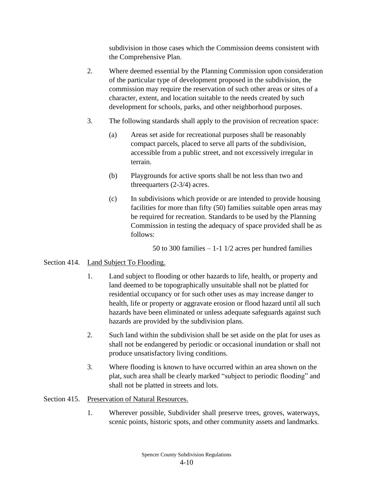subdivision in those cases which the Commission deems consistent with the Comprehensive Plan.

- 2. Where deemed essential by the Planning Commission upon consideration of the particular type of development proposed in the subdivision, the commission may require the reservation of such other areas or sites of a character, extent, and location suitable to the needs created by such development for schools, parks, and other neighborhood purposes.
- 3. The following standards shall apply to the provision of recreation space:
	- (a) Areas set aside for recreational purposes shall be reasonably compact parcels, placed to serve all parts of the subdivision, accessible from a public street, and not excessively irregular in terrain.
	- (b) Playgrounds for active sports shall be not less than two and threequarters (2-3/4) acres.
	- (c) In subdivisions which provide or are intended to provide housing facilities for more than fifty (50) families suitable open areas may be required for recreation. Standards to be used by the Planning Commission in testing the adequacy of space provided shall be as follows:

50 to 300 families  $-1$ -1 1/2 acres per hundred families

## Section 414. Land Subject To Flooding.

- 1. Land subject to flooding or other hazards to life, health, or property and land deemed to be topographically unsuitable shall not be platted for residential occupancy or for such other uses as may increase danger to health, life or property or aggravate erosion or flood hazard until all such hazards have been eliminated or unless adequate safeguards against such hazards are provided by the subdivision plans.
- 2. Such land within the subdivision shall be set aside on the plat for uses as shall not be endangered by periodic or occasional inundation or shall not produce unsatisfactory living conditions.
- 3. Where flooding is known to have occurred within an area shown on the plat, such area shall be clearly marked "subject to periodic flooding" and shall not be platted in streets and lots.

## Section 415. Preservation of Natural Resources.

1. Wherever possible, Subdivider shall preserve trees, groves, waterways, scenic points, historic spots, and other community assets and landmarks.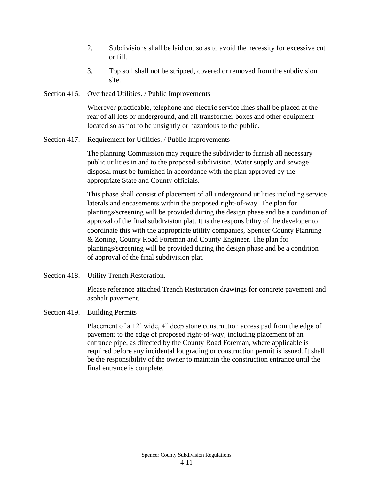- 2. Subdivisions shall be laid out so as to avoid the necessity for excessive cut or fill.
- 3. Top soil shall not be stripped, covered or removed from the subdivision site.

### Section 416. Overhead Utilities. / Public Improvements

Wherever practicable, telephone and electric service lines shall be placed at the rear of all lots or underground, and all transformer boxes and other equipment located so as not to be unsightly or hazardous to the public.

### Section 417. Requirement for Utilities. / Public Improvements

The planning Commission may require the subdivider to furnish all necessary public utilities in and to the proposed subdivision. Water supply and sewage disposal must be furnished in accordance with the plan approved by the appropriate State and County officials.

This phase shall consist of placement of all underground utilities including service laterals and encasements within the proposed right-of-way. The plan for plantings/screening will be provided during the design phase and be a condition of approval of the final subdivision plat. It is the responsibility of the developer to coordinate this with the appropriate utility companies, Spencer County Planning & Zoning, County Road Foreman and County Engineer. The plan for plantings/screening will be provided during the design phase and be a condition of approval of the final subdivision plat.

Section 418. Utility Trench Restoration.

Please reference attached Trench Restoration drawings for concrete pavement and asphalt pavement.

# Section 419. Building Permits

Placement of a 12' wide, 4" deep stone construction access pad from the edge of pavement to the edge of proposed right-of-way, including placement of an entrance pipe, as directed by the County Road Foreman, where applicable is required before any incidental lot grading or construction permit is issued. It shall be the responsibility of the owner to maintain the construction entrance until the final entrance is complete.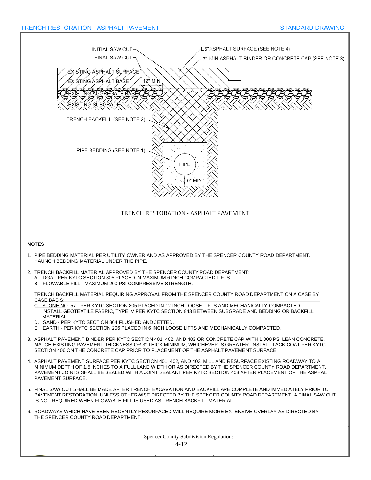